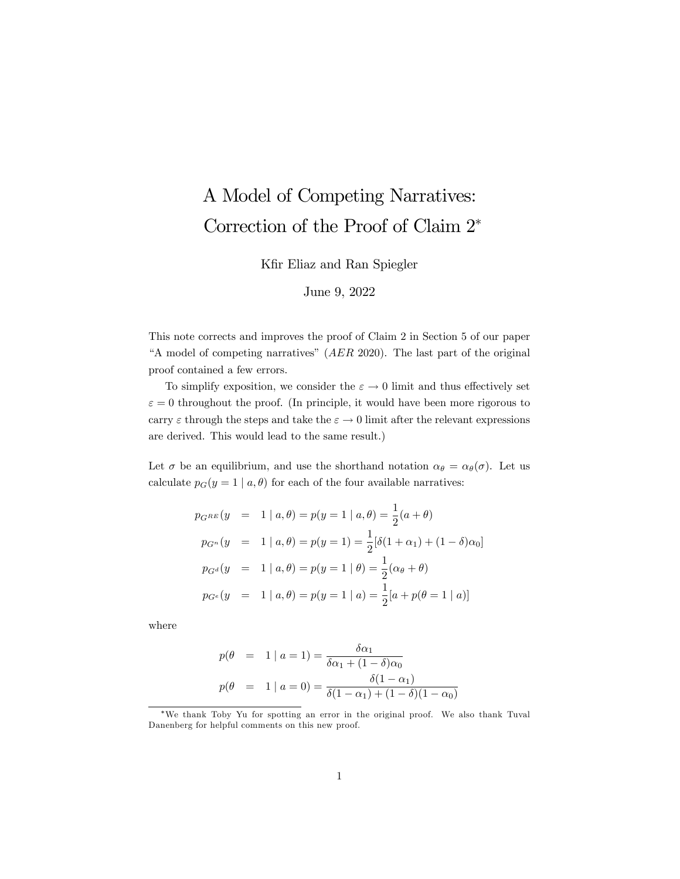## A Model of Competing Narratives: Correction of the Proof of Claim 2

Kfir Eliaz and Ran Spiegler

## June 9, 2022

This note corrects and improves the proof of Claim 2 in Section 5 of our paper "A model of competing narratives"  $(AER 2020)$ . The last part of the original proof contained a few errors.

To simplify exposition, we consider the  $\varepsilon \to 0$  limit and thus effectively set  $\varepsilon = 0$  throughout the proof. (In principle, it would have been more rigorous to carry  $\varepsilon$  through the steps and take the  $\varepsilon \to 0$  limit after the relevant expressions are derived. This would lead to the same result.)

Let  $\sigma$  be an equilibrium, and use the shorthand notation  $\alpha_{\theta} = \alpha_{\theta}(\sigma)$ . Let us calculate  $p_G(y = 1 | a, \theta)$  for each of the four available narratives:

$$
p_{G^{RE}}(y = 1 | a, \theta) = p(y = 1 | a, \theta) = \frac{1}{2}(a + \theta)
$$
  
\n
$$
p_{G^n}(y = 1 | a, \theta) = p(y = 1) = \frac{1}{2}[\delta(1 + \alpha_1) + (1 - \delta)\alpha_0]
$$
  
\n
$$
p_{G^d}(y = 1 | a, \theta) = p(y = 1 | \theta) = \frac{1}{2}(\alpha_\theta + \theta)
$$
  
\n
$$
p_{G^e}(y = 1 | a, \theta) = p(y = 1 | a) = \frac{1}{2}[a + p(\theta = 1 | a)]
$$

where

$$
p(\theta = 1 | a = 1) = \frac{\delta \alpha_1}{\delta \alpha_1 + (1 - \delta) \alpha_0}
$$
  

$$
p(\theta = 1 | a = 0) = \frac{\delta (1 - \alpha_1)}{\delta (1 - \alpha_1) + (1 - \delta) (1 - \alpha_0)}
$$

We thank Toby Yu for spotting an error in the original proof. We also thank Tuval Danenberg for helpful comments on this new proof.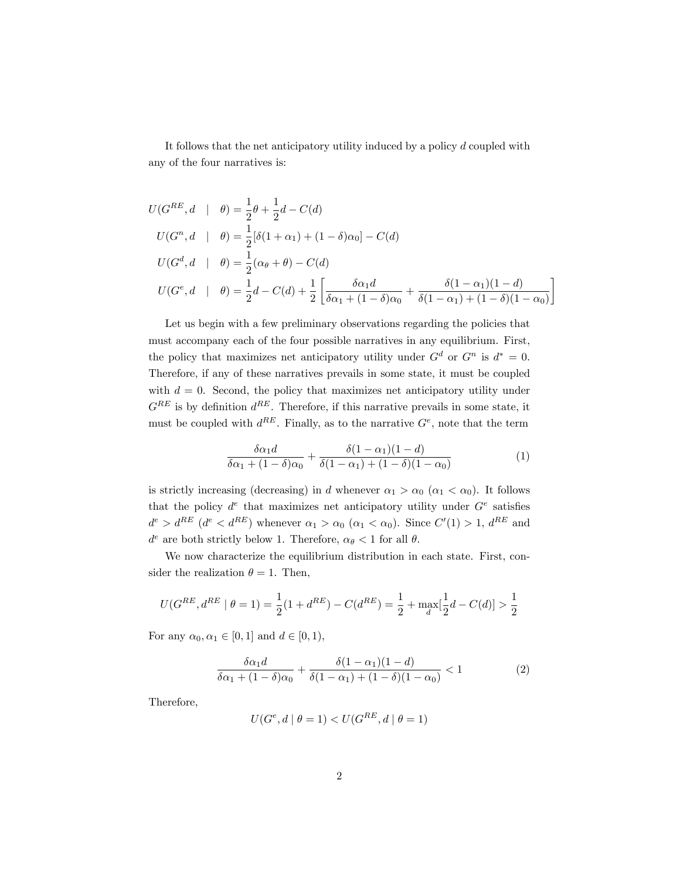It follows that the net anticipatory utility induced by a policy d coupled with any of the four narratives is:

$$
U(G^{RE}, d \mid \theta) = \frac{1}{2}\theta + \frac{1}{2}d - C(d)
$$
  
\n
$$
U(G^{n}, d \mid \theta) = \frac{1}{2}[\delta(1 + \alpha_{1}) + (1 - \delta)\alpha_{0}] - C(d)
$$
  
\n
$$
U(G^{d}, d \mid \theta) = \frac{1}{2}(\alpha_{\theta} + \theta) - C(d)
$$
  
\n
$$
U(G^{e}, d \mid \theta) = \frac{1}{2}d - C(d) + \frac{1}{2}\left[\frac{\delta\alpha_{1}d}{\delta\alpha_{1} + (1 - \delta)\alpha_{0}} + \frac{\delta(1 - \alpha_{1})(1 - d)}{\delta(1 - \alpha_{1}) + (1 - \delta)(1 - \alpha_{0})}\right]
$$

Let us begin with a few preliminary observations regarding the policies that must accompany each of the four possible narratives in any equilibrium. First, the policy that maximizes net anticipatory utility under  $G^d$  or  $G^n$  is  $d^* = 0$ . Therefore, if any of these narratives prevails in some state, it must be coupled with  $d = 0$ . Second, the policy that maximizes net anticipatory utility under  $G^{RE}$  is by definition  $d^{RE}$ . Therefore, if this narrative prevails in some state, it must be coupled with  $d^{RE}$ . Finally, as to the narrative  $G^e$ , note that the term

$$
\frac{\delta\alpha_1 d}{\delta\alpha_1 + (1-\delta)\alpha_0} + \frac{\delta(1-\alpha_1)(1-d)}{\delta(1-\alpha_1) + (1-\delta)(1-\alpha_0)}
$$
(1)

is strictly increasing (decreasing) in d whenever  $\alpha_1 > \alpha_0$  ( $\alpha_1 < \alpha_0$ ). It follows that the policy  $d^e$  that maximizes net anticipatory utility under  $G^e$  satisfies  $d^e > d^{RE}$  ( $d^e < d^{RE}$ ) whenever  $\alpha_1 > \alpha_0$  ( $\alpha_1 < \alpha_0$ ). Since  $C'(1) > 1$ ,  $d^{RE}$  and  $d^e$  are both strictly below 1. Therefore,  $\alpha_{\theta} < 1$  for all  $\theta$ .

We now characterize the equilibrium distribution in each state. First, consider the realization  $\theta = 1$ . Then,

$$
U(G^{RE}, d^{RE} \mid \theta = 1) = \frac{1}{2}(1 + d^{RE}) - C(d^{RE}) = \frac{1}{2} + \max_{d}[\frac{1}{2}d - C(d)] > \frac{1}{2}
$$

For any  $\alpha_0, \alpha_1 \in [0, 1]$  and  $d \in [0, 1]$ ,

$$
\frac{\delta\alpha_1 d}{\delta\alpha_1 + (1-\delta)\alpha_0} + \frac{\delta(1-\alpha_1)(1-d)}{\delta(1-\alpha_1) + (1-\delta)(1-\alpha_0)} < 1\tag{2}
$$

Therefore,

$$
U(G^e, d | \theta = 1) < U(G^{RE}, d | \theta = 1)
$$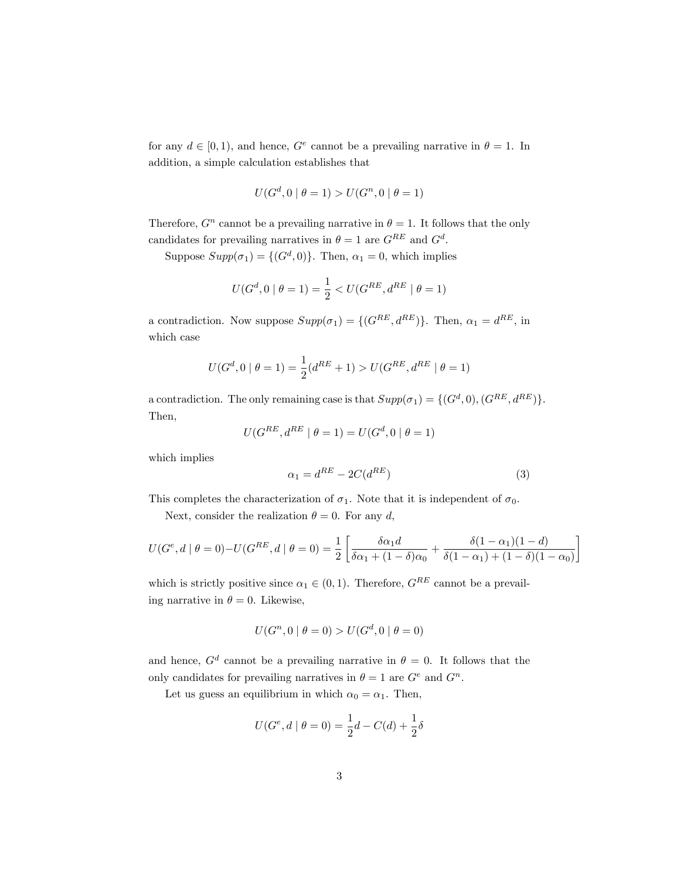for any  $d \in [0, 1)$ , and hence,  $G^e$  cannot be a prevailing narrative in  $\theta = 1$ . In addition, a simple calculation establishes that

$$
U(G^d, 0 | \theta = 1) > U(G^n, 0 | \theta = 1)
$$

Therefore,  $G<sup>n</sup>$  cannot be a prevailing narrative in  $\theta = 1$ . It follows that the only candidates for prevailing narratives in  $\theta = 1$  are  $G^{RE}$  and  $G^d$ .

Suppose  $Supp(\sigma_1) = \{(G^d, 0)\}\.$  Then,  $\alpha_1 = 0$ , which implies

$$
U(G^d, 0 | \theta = 1) = \frac{1}{2} < U(G^{RE}, d^{RE} | \theta = 1)
$$

a contradiction. Now suppose  $Supp(\sigma_1) = \{(G^{RE}, d^{RE})\}$ . Then,  $\alpha_1 = d^{RE}$ , in which case

$$
U(G^d, 0 | \theta = 1) = \frac{1}{2}(d^{RE} + 1) > U(G^{RE}, d^{RE} | \theta = 1)
$$

a contradiction. The only remaining case is that  $Supp(\sigma_1) = \{(G^d, 0), (G^{RE}, d^{RE})\}.$ Then,

$$
U(G^{RE}, d^{RE} | \theta = 1) = U(G^d, 0 | \theta = 1)
$$

which implies

$$
\alpha_1 = d^{RE} - 2C(d^{RE})\tag{3}
$$

This completes the characterization of  $\sigma_1$ . Note that it is independent of  $\sigma_0$ .

Next, consider the realization  $\theta = 0$ . For any d,

$$
U(G^e, d \mid \theta = 0) - U(G^{RE}, d \mid \theta = 0) = \frac{1}{2} \left[ \frac{\delta \alpha_1 d}{\delta \alpha_1 + (1 - \delta) \alpha_0} + \frac{\delta (1 - \alpha_1)(1 - d)}{\delta (1 - \alpha_1) + (1 - \delta)(1 - \alpha_0)} \right]
$$

which is strictly positive since  $\alpha_1 \in (0, 1)$ . Therefore,  $G^{RE}$  cannot be a prevailing narrative in  $\theta = 0$ . Likewise,

$$
U(G^n, 0 | \theta = 0) > U(G^d, 0 | \theta = 0)
$$

and hence,  $G^d$  cannot be a prevailing narrative in  $\theta = 0$ . It follows that the only candidates for prevailing narratives in  $\theta = 1$  are  $G^e$  and  $G^n$ .

Let us guess an equilibrium in which  $\alpha_0 = \alpha_1$ . Then,

$$
U(G^e, d | \theta = 0) = \frac{1}{2}d - C(d) + \frac{1}{2}\delta
$$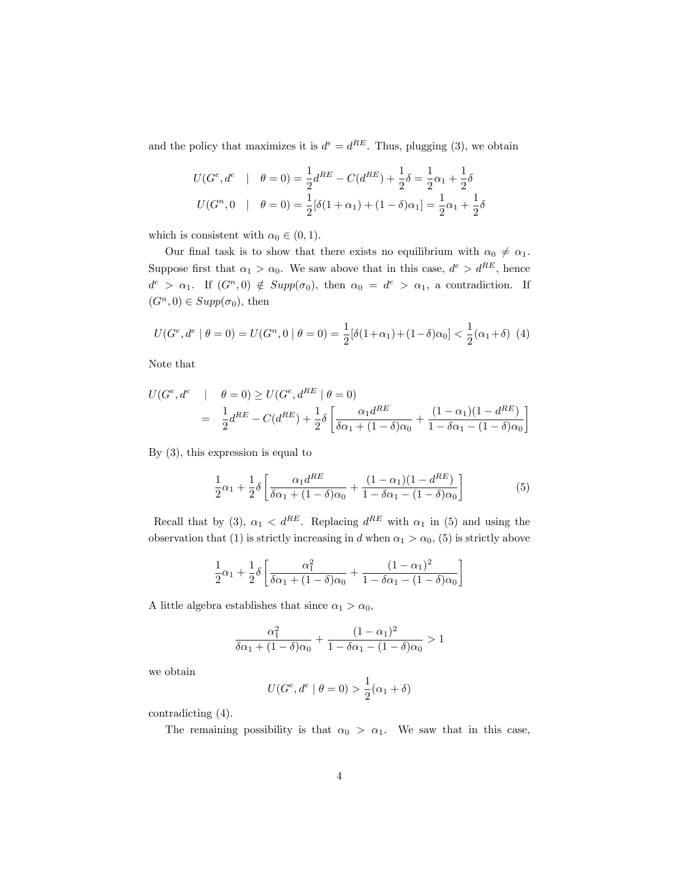and the policy that maximizes it is  $d^e = d^{RE}$ . Thus, plugging (3), we obtain

$$
U(Ge, de | \theta = 0) = \frac{1}{2}d^{RE} - C(d^{RE}) + \frac{1}{2}\delta = \frac{1}{2}\alpha_1 + \frac{1}{2}\delta
$$
  

$$
U(Gn, 0 | \theta = 0) = \frac{1}{2}[\delta(1 + \alpha_1) + (1 - \delta)\alpha_1] = \frac{1}{2}\alpha_1 + \frac{1}{2}\delta
$$

which is consistent with  $\alpha_0 \in (0, 1)$ .

Our final task is to show that there exists no equilibrium with  $\alpha_0 \neq \alpha_1$ . Suppose first that  $\alpha_1 > \alpha_0$ . We saw above that in this case,  $d^e > d^{RE}$ , hence  $d^e > \alpha_1$ . If  $(G^n, 0) \notin Supp(\sigma_0)$ , then  $\alpha_0 = d^e > \alpha_1$ , a contradiction. If  $(G<sup>n</sup>, 0) \in Supp(\sigma_0)$ , then

$$
U(G^e, d^e | \theta = 0) = U(G^n, 0 | \theta = 0) = \frac{1}{2} [\delta(1 + \alpha_1) + (1 - \delta)\alpha_0] < \frac{1}{2} (\alpha_1 + \delta) \tag{4}
$$

Note that

$$
U(G^e, d^e \mid \theta = 0) \ge U(G^e, d^{RE} \mid \theta = 0)
$$
  
=  $\frac{1}{2}d^{RE} - C(d^{RE}) + \frac{1}{2}\delta \left[ \frac{\alpha_1 d^{RE}}{\delta \alpha_1 + (1 - \delta)\alpha_0} + \frac{(1 - \alpha_1)(1 - d^{RE})}{1 - \delta \alpha_1 - (1 - \delta)\alpha_0} \right]$ 

By (3), this expression is equal to

$$
\frac{1}{2}\alpha_1 + \frac{1}{2}\delta \left[ \frac{\alpha_1 d^{RE}}{\delta \alpha_1 + (1-\delta)\alpha_0} + \frac{(1-\alpha_1)(1-d^{RE})}{1-\delta \alpha_1 - (1-\delta)\alpha_0} \right]
$$
(5)

Recall that by (3),  $\alpha_1 < d^{RE}$ . Replacing  $d^{RE}$  with  $\alpha_1$  in (5) and using the observation that (1) is strictly increasing in d when  $\alpha_1 > \alpha_0$ , (5) is strictly above

$$
\frac{1}{2}\alpha_1 + \frac{1}{2}\delta \left[ \frac{\alpha_1^2}{\delta \alpha_1 + (1-\delta)\alpha_0} + \frac{(1-\alpha_1)^2}{1-\delta \alpha_1 - (1-\delta)\alpha_0} \right]
$$

A little algebra establishes that since  $\alpha_1 > \alpha_0$ ,

$$
\frac{\alpha_1^2}{\delta \alpha_1 + (1 - \delta)\alpha_0} + \frac{(1 - \alpha_1)^2}{1 - \delta \alpha_1 - (1 - \delta)\alpha_0} > 1
$$

we obtain

$$
U(G^e, d^e | \theta = 0) > \frac{1}{2}(\alpha_1 + \delta)
$$

contradicting (4).

The remaining possibility is that  $\alpha_0 > \alpha_1$ . We saw that in this case,